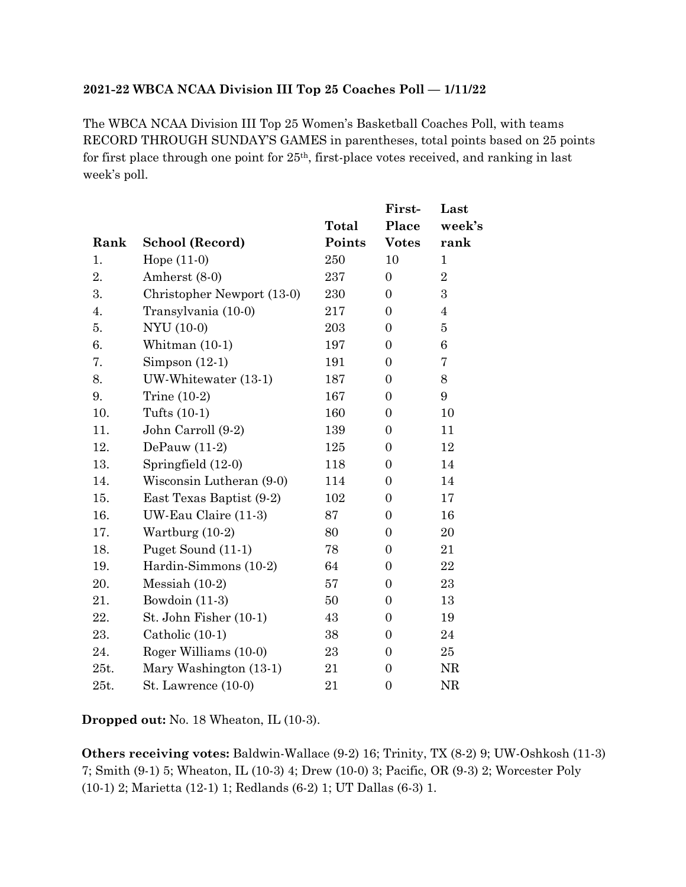## **2021-22 WBCA NCAA Division III Top 25 Coaches Poll — 1/11/22**

The WBCA NCAA Division III Top 25 Women's Basketball Coaches Poll, with teams RECORD THROUGH SUNDAY'S GAMES in parentheses, total points based on 25 points for first place through one point for  $25<sup>th</sup>$ , first-place votes received, and ranking in last week's poll.

|      |                            |        | First-           | Last            |
|------|----------------------------|--------|------------------|-----------------|
|      |                            | Total  | Place            | week's          |
| Rank | School (Record)            | Points | <b>Votes</b>     | rank            |
| 1.   | Hope $(11-0)$              | 250    | 10               | $\mathbf{1}$    |
| 2.   | Amherst (8-0)              | 237    | $\boldsymbol{0}$ | $\overline{2}$  |
| 3.   | Christopher Newport (13-0) | 230    | $\boldsymbol{0}$ | $\overline{3}$  |
| 4.   | Transylvania (10-0)        | 217    | $\boldsymbol{0}$ | $\overline{4}$  |
| 5.   | NYU (10-0)                 | 203    | $\boldsymbol{0}$ | 5               |
| 6.   | Whitman $(10-1)$           | 197    | $\boldsymbol{0}$ | 6               |
| 7.   | Simpson $(12-1)$           | 191    | $\boldsymbol{0}$ | 7               |
| 8.   | UW-Whitewater (13-1)       | 187    | $\overline{0}$   | 8               |
| 9.   | Trine $(10-2)$             | 167    | $\boldsymbol{0}$ | $9\phantom{.0}$ |
| 10.  | Tufts $(10-1)$             | 160    | 0                | 10              |
| 11.  | John Carroll (9-2)         | 139    | $\boldsymbol{0}$ | 11              |
| 12.  | DePauw $(11-2)$            | 125    | $\boldsymbol{0}$ | 12              |
| 13.  | Springfield (12-0)         | 118    | $\boldsymbol{0}$ | 14              |
| 14.  | Wisconsin Lutheran (9-0)   | 114    | $\boldsymbol{0}$ | 14              |
| 15.  | East Texas Baptist (9-2)   | 102    | $\boldsymbol{0}$ | 17              |
| 16.  | UW-Eau Claire (11-3)       | 87     | $\boldsymbol{0}$ | 16              |
| 17.  | Wartburg $(10-2)$          | 80     | $\boldsymbol{0}$ | 20              |
| 18.  | Puget Sound (11-1)         | 78     | $\boldsymbol{0}$ | 21              |
| 19.  | Hardin-Simmons (10-2)      | 64     | $\boldsymbol{0}$ | $\bf{22}$       |
| 20.  | Messiah $(10-2)$           | 57     | $\boldsymbol{0}$ | 23              |
| 21.  | Bowdoin (11-3)             | 50     | $\overline{0}$   | 13              |
| 22.  | St. John Fisher (10-1)     | 43     | $\boldsymbol{0}$ | 19              |
| 23.  | Catholic (10-1)            | 38     | $\boldsymbol{0}$ | 24              |
| 24.  | Roger Williams (10-0)      | 23     | $\boldsymbol{0}$ | 25              |
| 25t. | Mary Washington (13-1)     | 21     | $\boldsymbol{0}$ | NR              |
| 25t. | St. Lawrence $(10-0)$      | 21     | $\boldsymbol{0}$ | <b>NR</b>       |

**Dropped out:** No. 18 Wheaton, IL (10-3).

**Others receiving votes:** Baldwin-Wallace (9-2) 16; Trinity, TX (8-2) 9; UW-Oshkosh (11-3) 7; Smith (9-1) 5; Wheaton, IL (10-3) 4; Drew (10-0) 3; Pacific, OR (9-3) 2; Worcester Poly (10-1) 2; Marietta (12-1) 1; Redlands (6-2) 1; UT Dallas (6-3) 1.